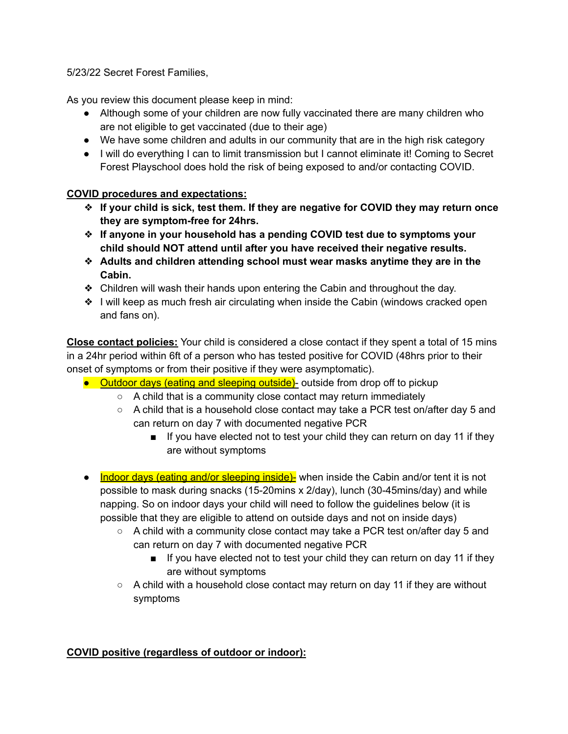5/23/22 Secret Forest Families,

As you review this document please keep in mind:

- Although some of your children are now fully vaccinated there are many children who are not eligible to get vaccinated (due to their age)
- We have some children and adults in our community that are in the high risk category
- I will do everything I can to limit transmission but I cannot eliminate it! Coming to Secret Forest Playschool does hold the risk of being exposed to and/or contacting COVID.

## **COVID procedures and expectations:**

- ❖ **If your child is sick, test them. If they are negative for COVID they may return once they are symptom-free for 24hrs.**
- ❖ **If anyone in your household has a pending COVID test due to symptoms your child should NOT attend until after you have received their negative results.**
- ❖ **Adults and children attending school must wear masks anytime they are in the Cabin.**
- ❖ Children will wash their hands upon entering the Cabin and throughout the day.
- ❖ I will keep as much fresh air circulating when inside the Cabin (windows cracked open and fans on).

**Close contact policies:** Your child is considered a close contact if they spent a total of 15 mins in a 24hr period within 6ft of a person who has tested positive for COVID (48hrs prior to their onset of symptoms or from their positive if they were asymptomatic).

- Outdoor days (eating and sleeping outside)- outside from drop off to pickup
	- A child that is a community close contact may return immediately
	- $\circ$  A child that is a household close contact may take a PCR test on/after day 5 and can return on day 7 with documented negative PCR
		- If you have elected not to test your child they can return on day 11 if they are without symptoms
- Indoor days (eating and/or sleeping inside)- when inside the Cabin and/or tent it is not possible to mask during snacks (15-20mins x 2/day), lunch (30-45mins/day) and while napping. So on indoor days your child will need to follow the guidelines below (it is possible that they are eligible to attend on outside days and not on inside days)
	- $\circ$  A child with a community close contact may take a PCR test on/after day 5 and can return on day 7 with documented negative PCR
		- If you have elected not to test your child they can return on day 11 if they are without symptoms
	- $\circ$  A child with a household close contact may return on day 11 if they are without symptoms

## **COVID positive (regardless of outdoor or indoor):**